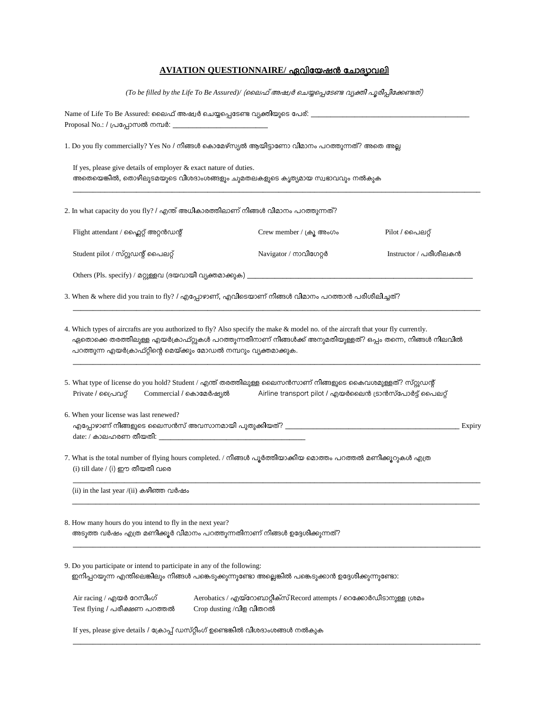# **AVIATION QUESTIONNAIRE/**

(To be filled by the Life To Be Assured)/ (ലൈഫ് അഷ്വർ ചെയ്യപ്പെടേണ്ട വ്യക്തി പൂരിപ്പിക്കേണ്ടത്)

*\_\_\_\_\_\_\_\_\_\_\_\_\_\_\_\_\_\_\_\_\_\_\_\_\_\_\_\_\_\_\_\_\_\_\_\_\_\_\_\_\_\_\_\_\_\_\_\_\_\_\_\_\_\_\_\_\_\_\_\_\_\_\_\_\_\_\_\_\_\_\_\_\_\_\_\_\_\_\_\_\_\_\_\_\_\_\_\_\_\_\_\_\_\_\_\_\_\_\_\_\_\_\_*

| Name of Life To Be Assured: ലൈഫ് അഷ്വർ ചെയ്യപ്പെടേണ്ട വ്യക്തിയുടെ പേര്: . |  |
|---------------------------------------------------------------------------|--|
| Proposal No.: / പ്രപ്പോസൽ നമ്പർ: j                                        |  |

1. Do you fly commercially? Yes No */ ?* 

If yes, please give details of employer & exact nature of duties. അതെയെങ്കിൽ, തൊഴിലുടമയുടെ വിശദാംശങ്ങളും ചുമതലകളുടെ കൃത്യമായ സ്വഭാവവും നൽകുക

2. In what capacity do you fly? / എന്ത് അധികാരത്തിലാണ് നിങ്ങൾ വിമാനം പറത്തുന്നത്?

| Flight attendant / ഹ്ലൈറ്റ് അറ്റൻഡന്റ്                                                                                                                                                                                                                                                                             | Crew member / ക്രൂ അംഗം                                 | Pilot / പൈലറ്റ്       |        |  |  |
|--------------------------------------------------------------------------------------------------------------------------------------------------------------------------------------------------------------------------------------------------------------------------------------------------------------------|---------------------------------------------------------|-----------------------|--------|--|--|
| Student pilot / സ്റ്റുഡന്റ് പൈലറ്റ്                                                                                                                                                                                                                                                                                | Navigator / നാവിഗേറ്റർ                                  | Instructor / പരിശീലകൻ |        |  |  |
|                                                                                                                                                                                                                                                                                                                    |                                                         |                       |        |  |  |
| 3. When & where did you train to fly? / എപ്പോഴാണ്, എവിടെയാണ് നിങ്ങൾ വിമാനം പറത്താൻ പരിശീലിച്ചത്?                                                                                                                                                                                                                   |                                                         |                       |        |  |  |
| 4. Which types of aircrafts are you authorized to fly? Also specify the make & model no. of the aircraft that your fly currently.<br>ഏതൊക്കെ തരത്തിലുള്ള എയർക്രാഫ്റ്റുകൾ പറത്തുന്നതിനാണ് നിങ്ങൾക്ക് അനുമതിയുള്ളത്? ഒപ്പം തന്നെ, നിങ്ങൾ നിലവിൽ<br>പറത്തുന്ന എയർക്രാഫ്റ്റിന്റെ മെയ്ക്കും മോഡൽ നമ്പറും വ്യക്തമാക്കുക. |                                                         |                       |        |  |  |
| 5. What type of license do you hold? Student / എന്ത് തരത്തിലുള്ള ലൈസൻസാണ് നിങ്ങളുടെ കൈവശമുള്ളത്? സ്റ്റുഡന്റ്<br>Private / പ്രൈവറ്റ്<br>Commercial / കൊമേർഷ്യൽ                                                                                                                                                      | Airline transport pilot / എയർലൈൻ ട്രാൻസ്പോർട്ട് പൈലറ്റ് |                       |        |  |  |
| 6. When your license was last renewed?                                                                                                                                                                                                                                                                             |                                                         |                       | Expiry |  |  |
| 7. What is the total number of flying hours completed. / നിങ്ങൾ പൂർത്തിയാക്കിയ മൊത്തം പറത്തൽ മണിക്കൂറുകൾ എത്ര<br>(i) till date / (i) ഈ തീയതി വരെ                                                                                                                                                                   |                                                         |                       |        |  |  |
| (ii) in the last year /(ii) കഴിഞ്ഞ വർഷം                                                                                                                                                                                                                                                                            |                                                         |                       |        |  |  |
| 8. How many hours do you intend to fly in the next year?<br>അടുത്ത വർഷം എത്ര മണിക്കൂർ വിമാനം പറത്തുന്നതിനാണ് നിങ്ങൾ ഉദ്ദേശിക്കുന്നത്?                                                                                                                                                                              |                                                         |                       |        |  |  |
| 9. Do you participate or intend to participate in any of the following:                                                                                                                                                                                                                                            |                                                         |                       |        |  |  |

ഇനിപ്പറയുന്ന എന്തിലെങ്കിലും നിങ്ങൾ പങ്കെടുക്കുന്നുണ്ടോ അല്ലെങ്കിൽ പങ്കെടുക്കാൻ ഉദ്ദേശിക്കുന്നുണ്ടോ:

Air racing /Aerobatics /Record attempts */*  Test flying / പരീക്ഷണ പറത്തൽ Crop dusting /വിള വിതറൽ

*\_\_\_\_\_\_\_\_\_\_\_\_\_\_\_\_\_\_\_\_\_\_\_\_\_\_\_\_\_\_\_\_\_\_\_\_\_\_\_\_\_\_\_\_\_\_\_\_\_\_\_\_\_\_\_\_\_\_\_\_\_\_\_\_\_\_\_\_\_\_\_\_\_\_\_\_\_\_\_\_\_\_\_\_\_\_\_\_\_\_\_\_\_\_\_\_\_\_\_\_\_\_\_*

If yes, please give details */*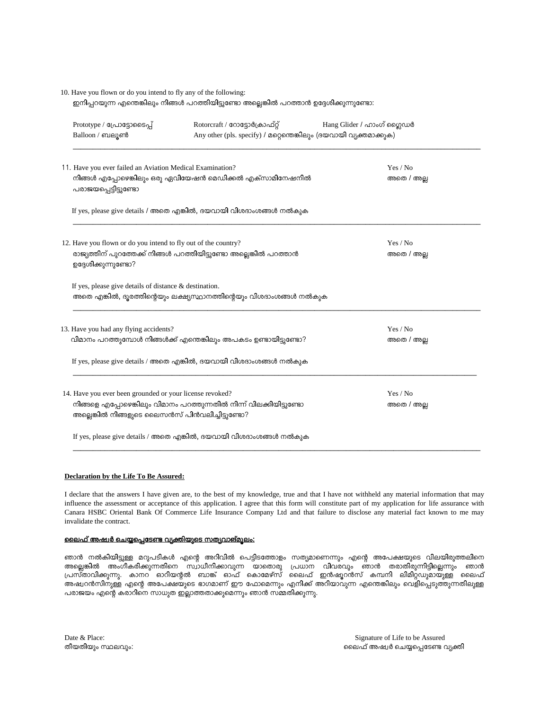## 10. Have you flown or do you intend to fly any of the following: ഇനിപ്പറയുന്ന എന്തെങ്കിലും നിങ്ങൾ പറത്തിയിട്ടുണ്ടോ അല്ലെങ്കിൽ പറത്താൻ ഉദ്ദേശിക്കുന്നുണ്ടോ:

| Prototype / പ്രോട്ടോടൈപ്പ്<br>Balloon / ബലൂൺ                                                                                                                 | Rotorcraft / റോട്ടോർക്രാഫ്റ്റ്<br>Any other (pls. specify) / മറ്റെന്തെങ്കിലും (ദയവായി വ്യക്തമാക്കുക)                                    | Hang Glider / ഹാംഗ് ഗ്ലൈഡർ                           |  |
|--------------------------------------------------------------------------------------------------------------------------------------------------------------|-----------------------------------------------------------------------------------------------------------------------------------------|------------------------------------------------------|--|
| 11. Have you ever failed an Aviation Medical Examination?<br>പരാജയപ്പെട്ടിട്ടുണ്ടോ                                                                           | നിങ്ങൾ എപ്പോഴെങ്കിലും ഒരു ഏവിയേഷൻ മെഡിക്കൽ എക്സാമിനേഷനിൽ                                                                                | $\operatorname{Yes}/\operatorname{No}$<br>അതെ / അല്ല |  |
|                                                                                                                                                              | If yes, please give details / അതെ എങ്കിൽ, ദയവായി വിശദാംശങ്ങൾ നൽകൂക                                                                      |                                                      |  |
| 12. Have you flown or do you intend to fly out of the country?<br>രാജ്യത്തിന് പുറത്തേക്ക് നിങ്ങൾ പറത്തിയിട്ടുണ്ടോ അല്ലെങ്കിൽ പറത്താൻ<br>ഉദ്ദേശിക്കുന്നുണ്ടോ? |                                                                                                                                         | Yes / No<br>അതെ / അല്ല                               |  |
| If yes, please give details of distance $\&$ destination.                                                                                                    | അതെ എങ്കിൽ, ദൂരത്തിന്റെയും ലക്ഷ്യസ്ഥാനത്തിന്റെയും വിശദാംശങ്ങൾ നൽകുക                                                                     |                                                      |  |
| 13. Have you had any flying accidents?                                                                                                                       | വിമാനം പറത്തുമ്പോൾ നിങ്ങൾക്ക് എന്തെങ്കിലും അപകടം ഉണ്ടായിട്ടുണ്ടോ?<br>If yes, please give details / അതെ എങ്കിൽ, ദയവായി വിശദാംശങ്ങൾ നൽകുക | Yes / No<br>അതെ / അല്ല                               |  |
| 14. Have you ever been grounded or your license revoked?<br>അല്ലെങ്കിൽ നിങ്ങളുടെ ലൈസൻസ് പിൻവലിച്ചിട്ടുണ്ടോ?                                                  | നിങ്ങളെ എപ്പോഴെങ്കിലും വിമാനം പറത്തുന്നതിൽ നിന്ന് വിലക്കിയിട്ടുണ്ടോ                                                                     | Yes / No<br>അതെ / അല്ല                               |  |
|                                                                                                                                                              | If yes, please give details / അതെ എങ്കിൽ, ദയവായി വിശദാംശങ്ങൾ നൽകുക                                                                      |                                                      |  |

#### **Declaration by the Life To Be Assured:**

I declare that the answers I have given are, to the best of my knowledge, true and that I have not withheld any material information that may influence the assessment or acceptance of this application. I agree that this form will constitute part of my application for life assurance with Canara HSBC Oriental Bank Of Commerce Life Insurance Company Ltd and that failure to disclose any material fact known to me may invalidate the contract.

*\_\_\_\_\_\_\_\_\_\_\_\_\_\_\_\_\_\_\_\_\_\_\_\_\_\_\_\_\_\_\_\_\_\_\_\_\_\_\_\_\_\_\_\_\_\_\_\_\_\_\_\_\_\_\_\_\_\_\_\_\_\_\_\_\_\_\_\_\_\_\_\_\_\_\_\_\_\_\_\_\_\_\_\_\_\_\_\_\_\_\_\_\_\_\_\_\_\_\_\_\_\_\_*

## <u>ലൈഫ് അഷ്വർ ചെയ്യപ്പെടേണ്ട വ്യക്തിയുടെ സത്യവാങ്മൂലം:</u>

ഞാൻ നൽകിയിട്ടുള്ള മറുപടികൾ എന്റെ അറിവിൽ പെട്ടിടത്തോളം സത്യമാണെന്നും എന്റെ അപേക്ഷയുടെ വിലയിരുത്തലിനെ അ പ്രസ്താവിക്കുന്നു. . അഷ്വറൻസിനുള്ള എന്റെ അപേക്ഷയുടെ ഭാഗമാണ് ഈ ഫോമെന്നും എനിക്ക് അറിയാവുന്ന എന്തെങ്കിലും വെളിപ്പെടുത്തുന്നതിലുള്ള പരാജയം എന്റെ കരാറിനെ സാധുത ഇല്ലാത്തതാക്കുമെന്നും ഞാൻ സമ്മതിക്കുന്നു.